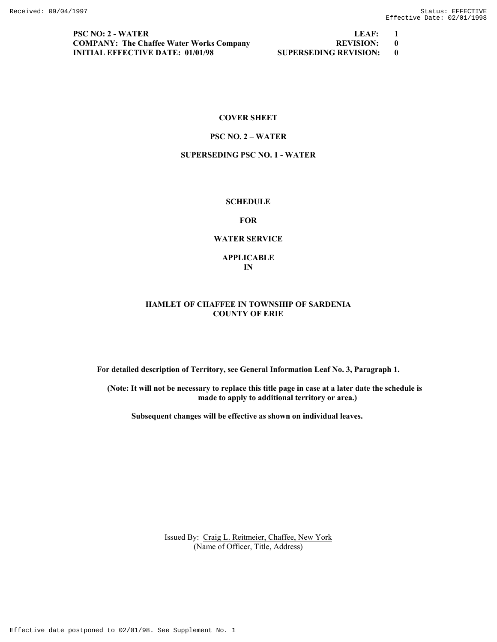**PSC NO: 2 - WATER LEAF: 1 COMPANY: The Chaffee Water Works Company REVISION: 0 INITIAL EFFECTIVE DATE: 01/01/98 SUPERSEDING REVISION: 0** 

### **COVER SHEET**

### **PSC NO. 2 – WATER**

### **SUPERSEDING PSC NO. 1 - WATER**

# **SCHEDULE**

**FOR** 

### **WATER SERVICE**

**APPLICABLE IN** 

### **HAMLET OF CHAFFEE IN TOWNSHIP OF SARDENIA COUNTY OF ERIE**

**For detailed description of Territory, see General Information Leaf No. 3, Paragraph 1.** 

**(Note: It will not be necessary to replace this title page in case at a later date the schedule is made to apply to additional territory or area.)** 

 **Subsequent changes will be effective as shown on individual leaves.**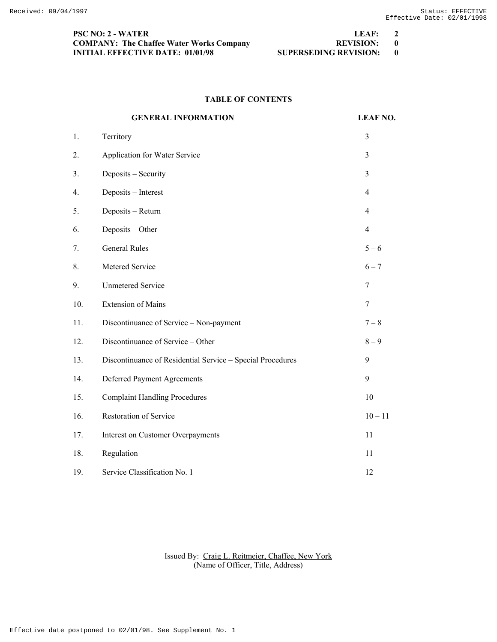| <b>PSC NO: 2 - WATER</b>                        | LEAF:                   | $\overline{\mathbf{2}}$ |
|-------------------------------------------------|-------------------------|-------------------------|
| <b>COMPANY: The Chaffee Water Works Company</b> | REVISION: 0             |                         |
| INITIAL EFFECTIVE DATE: 01/01/98                | SUPERSEDING REVISION: 0 |                         |

# **TABLE OF CONTENTS**

|                | <b>GENERAL INFORMATION</b>                                 | <b>LEAF NO.</b> |
|----------------|------------------------------------------------------------|-----------------|
| 1.             | Territory                                                  | 3               |
| 2.             | Application for Water Service                              | 3               |
| 3 <sub>1</sub> | Deposits - Security                                        | 3               |
| 4.             | Deposits - Interest                                        | $\overline{4}$  |
| 5.             | Deposits - Return                                          | $\overline{4}$  |
| 6.             | Deposits - Other                                           | $\overline{4}$  |
| 7.             | <b>General Rules</b>                                       | $5 - 6$         |
| 8.             | Metered Service                                            | $6 - 7$         |
| 9.             | <b>Unmetered Service</b>                                   | 7               |
| 10.            | <b>Extension of Mains</b>                                  | 7               |
| 11.            | Discontinuance of Service - Non-payment                    | $7 - 8$         |
| 12.            | Discontinuance of Service - Other                          | $8-9$           |
| 13.            | Discontinuance of Residential Service - Special Procedures | 9               |
| 14.            | Deferred Payment Agreements                                | 9               |
| 15.            | <b>Complaint Handling Procedures</b>                       | 10              |
| 16.            | <b>Restoration of Service</b>                              | $10 - 11$       |
| 17.            | <b>Interest on Customer Overpayments</b>                   | 11              |
| 18.            | Regulation                                                 | 11              |
| 19.            | Service Classification No. 1                               | 12              |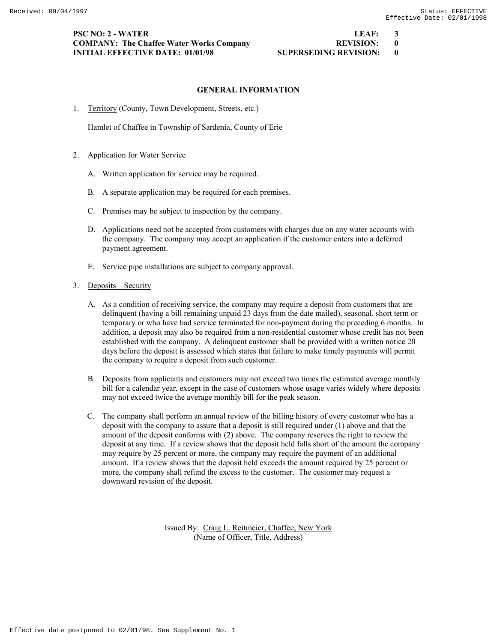### **PSC NO: 2 - WATER LEAF: 3 COMPANY: The Chaffee Water Works Company REVISION: 0 INITIAL EFFECTIVE DATE: 01/01/98 SUPERSEDING REVISION: 0**

# **GENERAL INFORMATION**

1. Territory (County, Town Development, Streets, etc.)

Hamlet of Chaffee in Township of Sardenia, County of Erie

- 2. Application for Water Service
	- A. Written application for service may be required.
	- B. A separate application may be required for each premises.
	- C. Premises may be subject to inspection by the company.
	- D. Applications need not be accepted from customers with charges due on any water accounts with the company. The company may accept an application if the customer enters into a deferred payment agreement.
	- E. Service pipe installations are subject to company approval.
- 3. Deposits Security
	- A. As a condition of receiving service, the company may require a deposit from customers that are delinquent (having a bill remaining unpaid 23 days from the date mailed), seasonal, short term or temporary or who have had service terminated for non-payment during the preceding 6 months. In addition, a deposit may also be required from a non-residential customer whose credit has not been established with the company. A delinquent customer shall be provided with a written notice 20 days before the deposit is assessed which states that failure to make timely payments will permit the company to require a deposit from such customer.
	- B. Deposits from applicants and customers may not exceed two times the estimated average monthly bill for a calendar year, except in the case of customers whose usage varies widely where deposits may not exceed twice the average monthly bill for the peak season.
	- C. The company shall perform an annual review of the billing history of every customer who has a deposit with the company to assure that a deposit is still required under (1) above and that the amount of the deposit conforms with (2) above. The company reserves the right to review the deposit at any time. If a review shows that the deposit held falls short of the amount the company may require by 25 percent or more, the company may require the payment of an additional amount. If a review shows that the deposit held exceeds the amount required by 25 percent or more, the company shall refund the excess to the customer. The customer may request a downward revision of the deposit.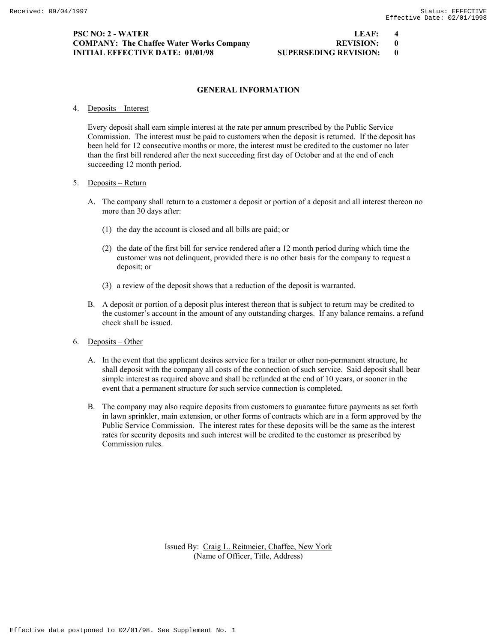# **PSC NO: 2 - WATER LEAF: 4 COMPANY: The Chaffee Water Works Company 60 COMPANY: 000 REVISION: 000 PACK REVISION: INITIAL EFFECTIVE DATE: 01/01/98 SUPERSEDING REVISION: 0**

# **GENERAL INFORMATION**

4. Deposits – Interest

 Every deposit shall earn simple interest at the rate per annum prescribed by the Public Service Commission. The interest must be paid to customers when the deposit is returned. If the deposit has been held for 12 consecutive months or more, the interest must be credited to the customer no later than the first bill rendered after the next succeeding first day of October and at the end of each succeeding 12 month period.

### 5. Deposits – Return

- A. The company shall return to a customer a deposit or portion of a deposit and all interest thereon no more than 30 days after:
	- (1) the day the account is closed and all bills are paid; or
	- (2) the date of the first bill for service rendered after a 12 month period during which time the customer was not delinquent, provided there is no other basis for the company to request a deposit; or
	- (3) a review of the deposit shows that a reduction of the deposit is warranted.
- B. A deposit or portion of a deposit plus interest thereon that is subject to return may be credited to the customer's account in the amount of any outstanding charges. If any balance remains, a refund check shall be issued.
- 6. Deposits Other
	- A. In the event that the applicant desires service for a trailer or other non-permanent structure, he shall deposit with the company all costs of the connection of such service. Said deposit shall bear simple interest as required above and shall be refunded at the end of 10 years, or sooner in the event that a permanent structure for such service connection is completed.
	- B. The company may also require deposits from customers to guarantee future payments as set forth in lawn sprinkler, main extension, or other forms of contracts which are in a form approved by the Public Service Commission. The interest rates for these deposits will be the same as the interest rates for security deposits and such interest will be credited to the customer as prescribed by Commission rules.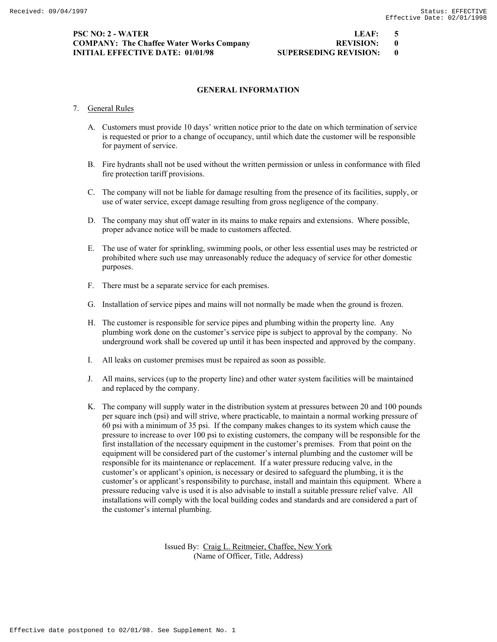# **PSC NO: 2 - WATER LEAF: 5 COMPANY: The Chaffee Water Works Company 60 COMPANY: 000 REVISION: 000 PACK REVISION: INITIAL EFFECTIVE DATE: 01/01/98 SUPERSEDING REVISION: 0**

# **GENERAL INFORMATION**

### 7. General Rules

- A. Customers must provide 10 days' written notice prior to the date on which termination of service is requested or prior to a change of occupancy, until which date the customer will be responsible for payment of service.
- B. Fire hydrants shall not be used without the written permission or unless in conformance with filed fire protection tariff provisions.
- C. The company will not be liable for damage resulting from the presence of its facilities, supply, or use of water service, except damage resulting from gross negligence of the company.
- D. The company may shut off water in its mains to make repairs and extensions. Where possible, proper advance notice will be made to customers affected.
- E. The use of water for sprinkling, swimming pools, or other less essential uses may be restricted or prohibited where such use may unreasonably reduce the adequacy of service for other domestic purposes.
- F. There must be a separate service for each premises.
- G. Installation of service pipes and mains will not normally be made when the ground is frozen.
- H. The customer is responsible for service pipes and plumbing within the property line. Any plumbing work done on the customer's service pipe is subject to approval by the company. No underground work shall be covered up until it has been inspected and approved by the company.
- I. All leaks on customer premises must be repaired as soon as possible.
- J. All mains, services (up to the property line) and other water system facilities will be maintained and replaced by the company.
- K. The company will supply water in the distribution system at pressures between 20 and 100 pounds per square inch (psi) and will strive, where practicable, to maintain a normal working pressure of 60 psi with a minimum of 35 psi. If the company makes changes to its system which cause the pressure to increase to over 100 psi to existing customers, the company will be responsible for the first installation of the necessary equipment in the customer's premises. From that point on the equipment will be considered part of the customer's internal plumbing and the customer will be responsible for its maintenance or replacement. If a water pressure reducing valve, in the customer's or applicant's opinion, is necessary or desired to safeguard the plumbing, it is the customer's or applicant's responsibility to purchase, install and maintain this equipment. Where a pressure reducing valve is used it is also advisable to install a suitable pressure relief valve. All installations will comply with the local building codes and standards and are considered a part of the customer's internal plumbing.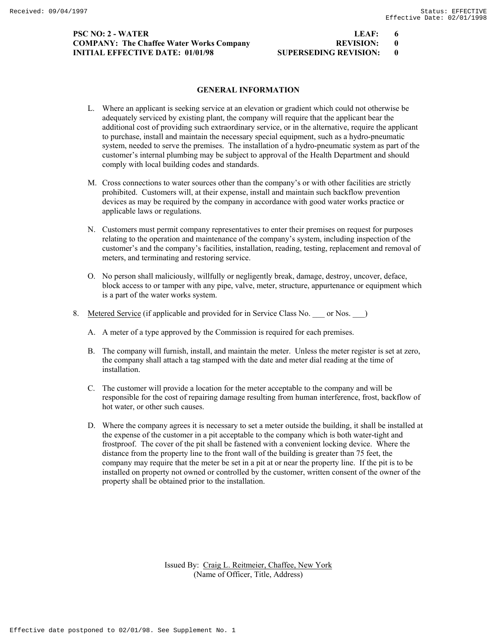# **PSC NO: 2 - WATER LEAF COMPANY: The Chaffee Water Works Company INITIAL EFFECTIVE DATE: 01/01/98 SU**

| LEAF:                       |  |
|-----------------------------|--|
| <b>REVISION:</b>            |  |
| <b>JPERSEDING REVISION:</b> |  |

### **GENERAL INFORMATION**

- L. Where an applicant is seeking service at an elevation or gradient which could not otherwise be adequately serviced by existing plant, the company will require that the applicant bear the additional cost of providing such extraordinary service, or in the alternative, require the applicant to purchase, install and maintain the necessary special equipment, such as a hydro-pneumatic system, needed to serve the premises. The installation of a hydro-pneumatic system as part of the customer's internal plumbing may be subject to approval of the Health Department and should comply with local building codes and standards.
- M. Cross connections to water sources other than the company's or with other facilities are strictly prohibited. Customers will, at their expense, install and maintain such backflow prevention devices as may be required by the company in accordance with good water works practice or applicable laws or regulations.
- N. Customers must permit company representatives to enter their premises on request for purposes relating to the operation and maintenance of the company's system, including inspection of the customer's and the company's facilities, installation, reading, testing, replacement and removal of meters, and terminating and restoring service.
- O. No person shall maliciously, willfully or negligently break, damage, destroy, uncover, deface, block access to or tamper with any pipe, valve, meter, structure, appurtenance or equipment which is a part of the water works system.
- 8. Metered Service (if applicable and provided for in Service Class No. \_\_\_ or Nos. \_\_ )
	- A. A meter of a type approved by the Commission is required for each premises.
	- B. The company will furnish, install, and maintain the meter. Unless the meter register is set at zero, the company shall attach a tag stamped with the date and meter dial reading at the time of installation.
	- C. The customer will provide a location for the meter acceptable to the company and will be responsible for the cost of repairing damage resulting from human interference, frost, backflow of hot water, or other such causes.
	- D. Where the company agrees it is necessary to set a meter outside the building, it shall be installed at the expense of the customer in a pit acceptable to the company which is both water-tight and frostproof. The cover of the pit shall be fastened with a convenient locking device. Where the distance from the property line to the front wall of the building is greater than 75 feet, the company may require that the meter be set in a pit at or near the property line. If the pit is to be installed on property not owned or controlled by the customer, written consent of the owner of the property shall be obtained prior to the installation.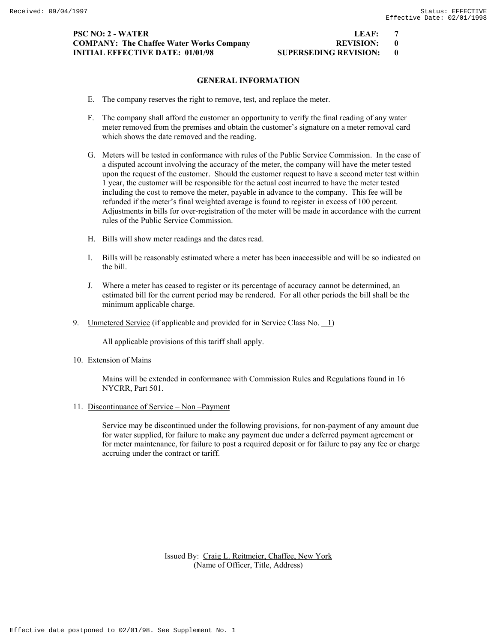# **PSC NO: 2 - WATER LEAF: 7 COMPANY: The Chaffee Water Works Company REVISION: 0 INITIAL EFFECTIVE DATE: 01/01/98 SUPERSEDING REVISION: 0**

# **GENERAL INFORMATION**

- E. The company reserves the right to remove, test, and replace the meter.
- F. The company shall afford the customer an opportunity to verify the final reading of any water meter removed from the premises and obtain the customer's signature on a meter removal card which shows the date removed and the reading.
- G. Meters will be tested in conformance with rules of the Public Service Commission. In the case of a disputed account involving the accuracy of the meter, the company will have the meter tested upon the request of the customer. Should the customer request to have a second meter test within 1 year, the customer will be responsible for the actual cost incurred to have the meter tested including the cost to remove the meter, payable in advance to the company. This fee will be refunded if the meter's final weighted average is found to register in excess of 100 percent. Adjustments in bills for over-registration of the meter will be made in accordance with the current rules of the Public Service Commission.
- H. Bills will show meter readings and the dates read.
- I. Bills will be reasonably estimated where a meter has been inaccessible and will be so indicated on the bill.
- J. Where a meter has ceased to register or its percentage of accuracy cannot be determined, an estimated bill for the current period may be rendered. For all other periods the bill shall be the minimum applicable charge.
- 9. Unmetered Service (if applicable and provided for in Service Class No.  $\boxed{1}$ )

All applicable provisions of this tariff shall apply.

10. Extension of Mains

 Mains will be extended in conformance with Commission Rules and Regulations found in 16 NYCRR, Part 501.

11. Discontinuance of Service – Non –Payment

 Service may be discontinued under the following provisions, for non-payment of any amount due for water supplied, for failure to make any payment due under a deferred payment agreement or for meter maintenance, for failure to post a required deposit or for failure to pay any fee or charge accruing under the contract or tariff.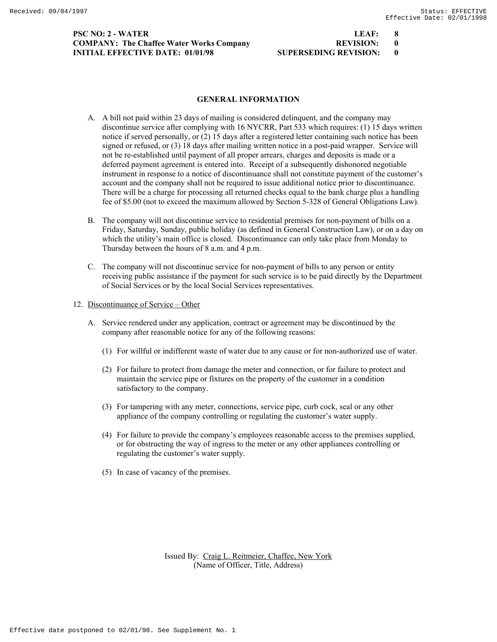# **PSC NO: 2 - WATER LEAF: 8 COMPANY: The Chaffee Water Works Company 60 COMPANY: 000 REVISION: 000 PACK REVISION: INITIAL EFFECTIVE DATE: 01/01/98 SUPERSEDING REVISION: 0**

### **GENERAL INFORMATION**

- A. A bill not paid within 23 days of mailing is considered delinquent, and the company may discontinue service after complying with 16 NYCRR, Part 533 which requires: (1) 15 days written notice if served personally, or (2) 15 days after a registered letter containing such notice has been signed or refused, or (3) 18 days after mailing written notice in a post-paid wrapper. Service will not be re-established until payment of all proper arrears, charges and deposits is made or a deferred payment agreement is entered into. Receipt of a subsequently dishonored negotiable instrument in response to a notice of discontinuance shall not constitute payment of the customer's account and the company shall not be required to issue additional notice prior to discontinuance. There will be a charge for processing all returned checks equal to the bank charge plus a handling fee of \$5.00 (not to exceed the maximum allowed by Section 5-328 of General Obligations Law).
- B. The company will not discontinue service to residential premises for non-payment of bills on a Friday, Saturday, Sunday, public holiday (as defined in General Construction Law), or on a day on which the utility's main office is closed. Discontinuance can only take place from Monday to Thursday between the hours of 8 a.m. and 4 p.m.
- C. The company will not discontinue service for non-payment of bills to any person or entity receiving public assistance if the payment for such service is to be paid directly by the Department of Social Services or by the local Social Services representatives.
- 12. Discontinuance of Service Other
	- A. Service rendered under any application, contract or agreement may be discontinued by the company after reasonable notice for any of the following reasons:
		- (1) For willful or indifferent waste of water due to any cause or for non-authorized use of water.
		- (2) For failure to protect from damage the meter and connection, or for failure to protect and maintain the service pipe or fixtures on the property of the customer in a condition satisfactory to the company.
		- (3) For tampering with any meter, connections, service pipe, curb cock, seal or any other appliance of the company controlling or regulating the customer's water supply.
		- (4) For failure to provide the company's employees reasonable access to the premises supplied, or for obstructing the way of ingress to the meter or any other appliances controlling or regulating the customer's water supply.
		- (5) In case of vacancy of the premises.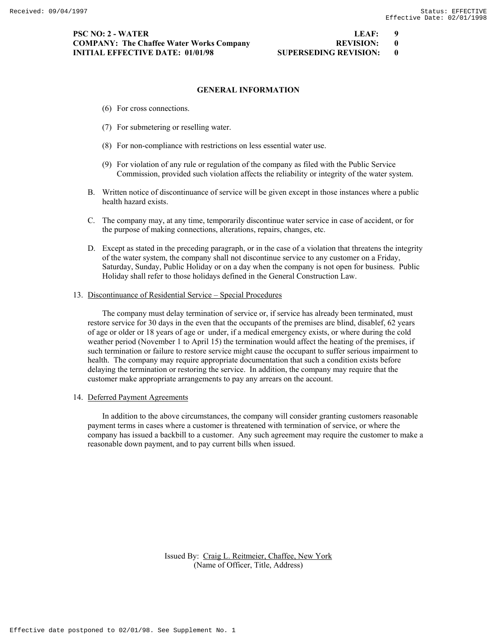### **GENERAL INFORMATION**

- (6) For cross connections.
- (7) For submetering or reselling water.
- (8) For non-compliance with restrictions on less essential water use.
- (9) For violation of any rule or regulation of the company as filed with the Public Service Commission, provided such violation affects the reliability or integrity of the water system.
- B. Written notice of discontinuance of service will be given except in those instances where a public health hazard exists.
- C. The company may, at any time, temporarily discontinue water service in case of accident, or for the purpose of making connections, alterations, repairs, changes, etc.
- D. Except as stated in the preceding paragraph, or in the case of a violation that threatens the integrity of the water system, the company shall not discontinue service to any customer on a Friday, Saturday, Sunday, Public Holiday or on a day when the company is not open for business. Public Holiday shall refer to those holidays defined in the General Construction Law.

### 13. Discontinuance of Residential Service – Special Procedures

 The company must delay termination of service or, if service has already been terminated, must restore service for 30 days in the even that the occupants of the premises are blind, disablef, 62 years of age or older or 18 years of age or under, if a medical emergency exists, or where during the cold weather period (November 1 to April 15) the termination would affect the heating of the premises, if such termination or failure to restore service might cause the occupant to suffer serious impairment to health. The company may require appropriate documentation that such a condition exists before delaying the termination or restoring the service. In addition, the company may require that the customer make appropriate arrangements to pay any arrears on the account.

14. Deferred Payment Agreements

 In addition to the above circumstances, the company will consider granting customers reasonable payment terms in cases where a customer is threatened with termination of service, or where the company has issued a backbill to a customer. Any such agreement may require the customer to make a reasonable down payment, and to pay current bills when issued.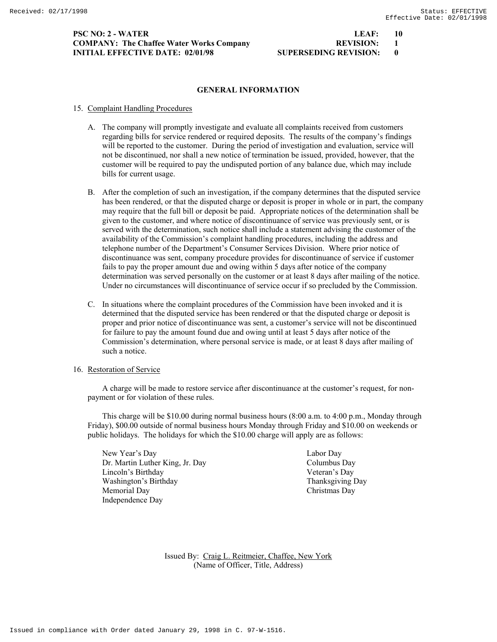### **PSC NO: 2 - WATER LEAF: 10 COMPANY: The Chaffee Water Works Company REVISION: 1 INITIAL EFFECTIVE DATE: 02/01/98 SUPERSEDING REVISION: 0**

### **GENERAL INFORMATION**

### 15. Complaint Handling Procedures

- A. The company will promptly investigate and evaluate all complaints received from customers regarding bills for service rendered or required deposits. The results of the company's findings will be reported to the customer. During the period of investigation and evaluation, service will not be discontinued, nor shall a new notice of termination be issued, provided, however, that the customer will be required to pay the undisputed portion of any balance due, which may include bills for current usage.
- B. After the completion of such an investigation, if the company determines that the disputed service has been rendered, or that the disputed charge or deposit is proper in whole or in part, the company may require that the full bill or deposit be paid. Appropriate notices of the determination shall be given to the customer, and where notice of discontinuance of service was previously sent, or is served with the determination, such notice shall include a statement advising the customer of the availability of the Commission's complaint handling procedures, including the address and telephone number of the Department's Consumer Services Division. Where prior notice of discontinuance was sent, company procedure provides for discontinuance of service if customer fails to pay the proper amount due and owing within 5 days after notice of the company determination was served personally on the customer or at least 8 days after mailing of the notice. Under no circumstances will discontinuance of service occur if so precluded by the Commission.
- C. In situations where the complaint procedures of the Commission have been invoked and it is determined that the disputed service has been rendered or that the disputed charge or deposit is proper and prior notice of discontinuance was sent, a customer's service will not be discontinued for failure to pay the amount found due and owing until at least 5 days after notice of the Commission's determination, where personal service is made, or at least 8 days after mailing of such a notice.
- 16. Restoration of Service

 A charge will be made to restore service after discontinuance at the customer's request, for nonpayment or for violation of these rules.

 This charge will be \$10.00 during normal business hours (8:00 a.m. to 4:00 p.m., Monday through Friday), \$00.00 outside of normal business hours Monday through Friday and \$10.00 on weekends or public holidays. The holidays for which the \$10.00 charge will apply are as follows:

 New Year's Day Labor Day Dr. Martin Luther King, Jr. Day Columbus Day Lincoln's Birthday Veteran's Day Washington's Birthday Thanksgiving Day Memorial Day Christmas Day Independence Day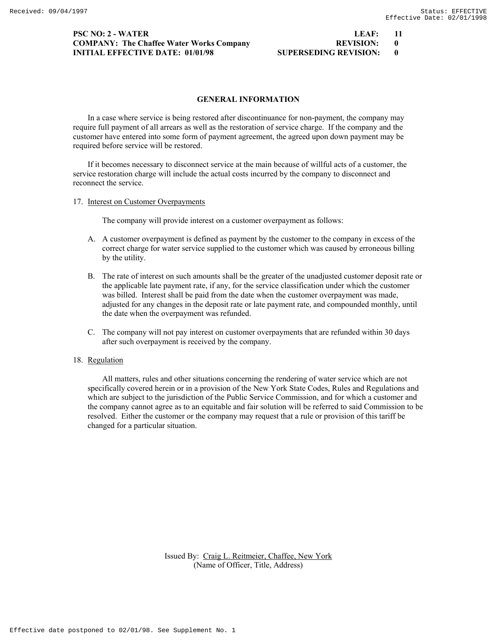# **PSC NO: 2 - WATER LEAF:** 11 **LEAF**: **COMPANY: The Chaffee Water Works Company INITIAL EFFECTIVE DATE: 01/01/98 SUPERSEDING REVIEWS**

| LEAF:                       | 11           |
|-----------------------------|--------------|
| <b>REVISION:</b>            |              |
| <b>JPERSEDING REVISION:</b> | $\mathbf{0}$ |

### **GENERAL INFORMATION**

 In a case where service is being restored after discontinuance for non-payment, the company may require full payment of all arrears as well as the restoration of service charge. If the company and the customer have entered into some form of payment agreement, the agreed upon down payment may be required before service will be restored.

 If it becomes necessary to disconnect service at the main because of willful acts of a customer, the service restoration charge will include the actual costs incurred by the company to disconnect and reconnect the service.

17. Interest on Customer Overpayments

The company will provide interest on a customer overpayment as follows:

- A. A customer overpayment is defined as payment by the customer to the company in excess of the correct charge for water service supplied to the customer which was caused by erroneous billing by the utility.
- B. The rate of interest on such amounts shall be the greater of the unadjusted customer deposit rate or the applicable late payment rate, if any, for the service classification under which the customer was billed. Interest shall be paid from the date when the customer overpayment was made, adjusted for any changes in the deposit rate or late payment rate, and compounded monthly, until the date when the overpayment was refunded.
- C. The company will not pay interest on customer overpayments that are refunded within 30 days after such overpayment is received by the company.

# 18. Regulation

 All matters, rules and other situations concerning the rendering of water service which are not specifically covered herein or in a provision of the New York State Codes, Rules and Regulations and which are subject to the jurisdiction of the Public Service Commission, and for which a customer and the company cannot agree as to an equitable and fair solution will be referred to said Commission to be resolved. Either the customer or the company may request that a rule or provision of this tariff be changed for a particular situation.